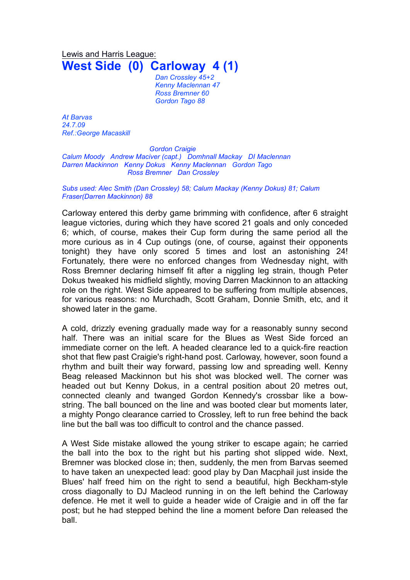Lewis and Harris League: **West Side (0) Carloway 4 (1)**

> *Dan Crossley 45+2 Kenny Maclennan 47 Ross Bremner 60 Gordon Tago 88*

*At Barvas 24.7.09 Ref.:George Macaskill*

*Gordon Craigie Calum Moody Andrew Maciver (capt.) Domhnall Mackay DI Maclennan Darren Mackinnon Kenny Dokus Kenny Maclennan Gordon Tago Ross Bremner Dan Crossley*

*Subs used: Alec Smith (Dan Crossley) 58; Calum Mackay (Kenny Dokus) 81; Calum Fraser(Darren Mackinnon) 88*

Carloway entered this derby game brimming with confidence, after 6 straight league victories, during which they have scored 21 goals and only conceded 6; which, of course, makes their Cup form during the same period all the more curious as in 4 Cup outings (one, of course, against their opponents tonight) they have only scored 5 times and lost an astonishing 24! Fortunately, there were no enforced changes from Wednesday night, with Ross Bremner declaring himself fit after a niggling leg strain, though Peter Dokus tweaked his midfield slightly, moving Darren Mackinnon to an attacking role on the right. West Side appeared to be suffering from multiple absences, for various reasons: no Murchadh, Scott Graham, Donnie Smith, etc, and it showed later in the game.

A cold, drizzly evening gradually made way for a reasonably sunny second half. There was an initial scare for the Blues as West Side forced an immediate corner on the left. A headed clearance led to a quick-fire reaction shot that flew past Craigie's right-hand post. Carloway, however, soon found a rhythm and built their way forward, passing low and spreading well. Kenny Beag released Mackinnon but his shot was blocked well. The corner was headed out but Kenny Dokus, in a central position about 20 metres out, connected cleanly and twanged Gordon Kennedy's crossbar like a bowstring. The ball bounced on the line and was booted clear but moments later, a mighty Pongo clearance carried to Crossley, left to run free behind the back line but the ball was too difficult to control and the chance passed.

A West Side mistake allowed the young striker to escape again; he carried the ball into the box to the right but his parting shot slipped wide. Next, Bremner was blocked close in; then, suddenly, the men from Barvas seemed to have taken an unexpected lead: good play by Dan Macphail just inside the Blues' half freed him on the right to send a beautiful, high Beckham-style cross diagonally to DJ Macleod running in on the left behind the Carloway defence. He met it well to guide a header wide of Craigie and in off the far post; but he had stepped behind the line a moment before Dan released the ball.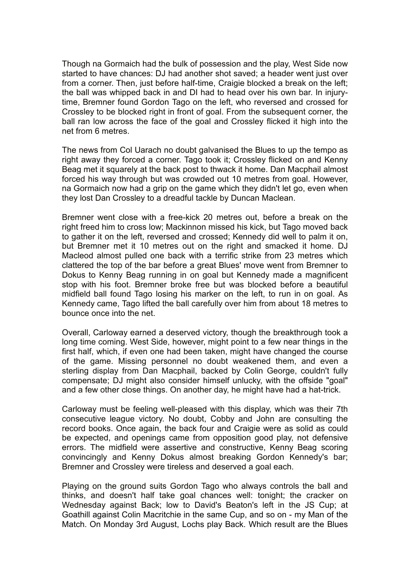Though na Gormaich had the bulk of possession and the play, West Side now started to have chances: DJ had another shot saved; a header went just over from a corner. Then, just before half-time, Craigie blocked a break on the left; the ball was whipped back in and DI had to head over his own bar. In injurytime, Bremner found Gordon Tago on the left, who reversed and crossed for Crossley to be blocked right in front of goal. From the subsequent corner, the ball ran low across the face of the goal and Crossley flicked it high into the net from 6 metres.

The news from Col Uarach no doubt galvanised the Blues to up the tempo as right away they forced a corner. Tago took it; Crossley flicked on and Kenny Beag met it squarely at the back post to thwack it home. Dan Macphail almost forced his way through but was crowded out 10 metres from goal. However, na Gormaich now had a grip on the game which they didn't let go, even when they lost Dan Crossley to a dreadful tackle by Duncan Maclean.

Bremner went close with a free-kick 20 metres out, before a break on the right freed him to cross low; Mackinnon missed his kick, but Tago moved back to gather it on the left, reversed and crossed; Kennedy did well to palm it on, but Bremner met it 10 metres out on the right and smacked it home. DJ Macleod almost pulled one back with a terrific strike from 23 metres which clattered the top of the bar before a great Blues' move went from Bremner to Dokus to Kenny Beag running in on goal but Kennedy made a magnificent stop with his foot. Bremner broke free but was blocked before a beautiful midfield ball found Tago losing his marker on the left, to run in on goal. As Kennedy came, Tago lifted the ball carefully over him from about 18 metres to bounce once into the net.

Overall, Carloway earned a deserved victory, though the breakthrough took a long time coming. West Side, however, might point to a few near things in the first half, which, if even one had been taken, might have changed the course of the game. Missing personnel no doubt weakened them, and even a sterling display from Dan Macphail, backed by Colin George, couldn't fully compensate; DJ might also consider himself unlucky, with the offside "goal" and a few other close things. On another day, he might have had a hat-trick.

Carloway must be feeling well-pleased with this display, which was their 7th consecutive league victory. No doubt, Cobby and John are consulting the record books. Once again, the back four and Craigie were as solid as could be expected, and openings came from opposition good play, not defensive errors. The midfield were assertive and constructive, Kenny Beag scoring convincingly and Kenny Dokus almost breaking Gordon Kennedy's bar; Bremner and Crossley were tireless and deserved a goal each.

Playing on the ground suits Gordon Tago who always controls the ball and thinks, and doesn't half take goal chances well: tonight; the cracker on Wednesday against Back; low to David's Beaton's left in the JS Cup; at Goathill against Colin Macritchie in the same Cup, and so on - my Man of the Match. On Monday 3rd August, Lochs play Back. Which result are the Blues